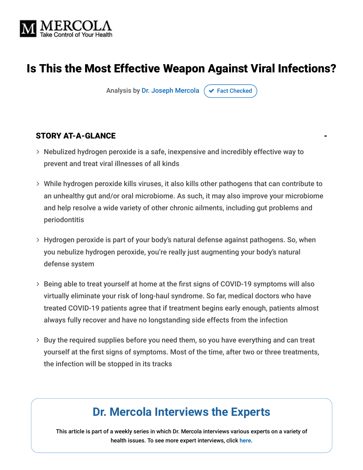

## Is This the Most Effective Weapon Against Viral Infections?

Analysis by [Dr. Joseph Mercola](https://www.mercola.com/forms/background.htm)  $\sigma$  [Fact Checked](javascript:void(0))

#### **STORY AT-A-GLANCE**

- Nebulized hydrogen peroxide is a safe, inexpensive and incredibly effective way to prevent and treat viral illnesses of all kinds
- While hydrogen peroxide kills viruses, it also kills other pathogens that can contribute to an unhealthy gut and/or oral microbiome. As such, it may also improve your microbiome and help resolve a wide variety of other chronic ailments, including gut problems and periodontitis
- Hydrogen peroxide is part of your body's natural defense against pathogens. So, when you nebulize hydrogen peroxide, you're really just augmenting your body's natural defense system
- $>$  Being able to treat yourself at home at the first signs of COVID-19 symptoms will also virtually eliminate your risk of long-haul syndrome. So far, medical doctors who have treated COVID-19 patients agree that if treatment begins early enough, patients almost always fully recover and have no longstanding side effects from the infection
- $>$  Buy the required supplies before you need them, so you have everything and can treat yourself at the first signs of symptoms. Most of the time, after two or three treatments, the infection will be stopped in its tracks

# **Dr. Mercola Interviews the Experts**

This article is part of a weekly series in which Dr. Mercola interviews various experts on a variety of health issues. To see more expert interviews, click **[here](https://interviews.mercola.com/)**.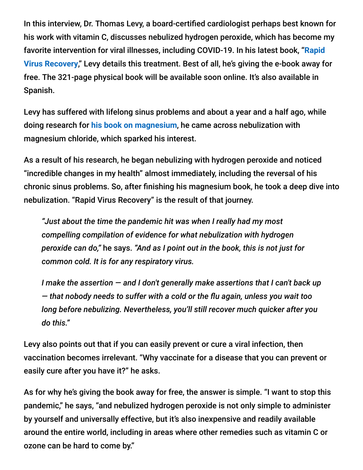In this interview, Dr. Thomas Levy, a board-certified cardiologist perhaps best known for his work with vitamin C, discusses nebulized hydrogen peroxide, which has become my [favorite intervention for viral illnesses, including COVID-19. In his latest book, "](https://rvr.medfoxpub.com/)**Rapid Virus Recovery**," Levy details this treatment. Best of all, he's giving the e-book away for free. The 321-page physical book will be available soon online. It's also available in Spanish.

Levy has suffered with lifelong sinus problems and about a year and a half ago, while doing research for **[his book on magnesium](https://articles.mercola.com/sites/articles/archive/2020/04/11/dr-thomas-levy-magnesium.aspx)**, he came across nebulization with magnesium chloride, which sparked his interest.

As a result of his research, he began nebulizing with hydrogen peroxide and noticed "incredible changes in my health" almost immediately, including the reversal of his chronic sinus problems. So, after finishing his magnesium book, he took a deep dive into nebulization. "Rapid Virus Recovery" is the result of that journey.

*"Just about the time the pandemic hit was when I really had my most compelling compilation of evidence for what nebulization with hydrogen peroxide can do,"* he says. *"And as I point out in the book, this is not just for common cold. It is for any respiratory virus.*

*I make the assertion — and I don't generally make assertions that I can't back up*  $-$  that nobody needs to suffer with a cold or the flu again, unless you wait too *long before nebulizing. Nevertheless, you'll still recover much quicker after you do this."*

Levy also points out that if you can easily prevent or cure a viral infection, then vaccination becomes irrelevant. "Why vaccinate for a disease that you can prevent or easily cure after you have it?" he asks.

As for why he's giving the book away for free, the answer is simple. "I want to stop this pandemic," he says, "and nebulized hydrogen peroxide is not only simple to administer by yourself and universally effective, but it's also inexpensive and readily available around the entire world, including in areas where other remedies such as vitamin C or ozone can be hard to come by."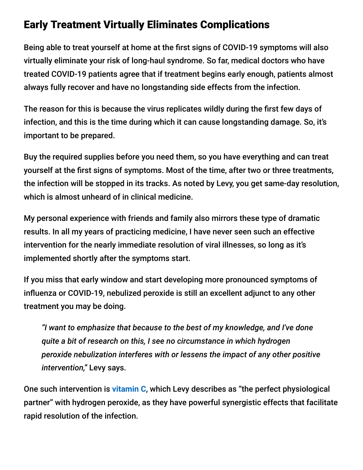## Early Treatment Virtually Eliminates Complications

Being able to treat yourself at home at the first signs of COVID-19 symptoms will also virtually eliminate your risk of long-haul syndrome. So far, medical doctors who have treated COVID-19 patients agree that if treatment begins early enough, patients almost always fully recover and have no longstanding side effects from the infection.

The reason for this is because the virus replicates wildly during the first few days of infection, and this is the time during which it can cause longstanding damage. So, it's important to be prepared.

Buy the required supplies before you need them, so you have everything and can treat yourself at the first signs of symptoms. Most of the time, after two or three treatments, the infection will be stopped in its tracks. As noted by Levy, you get same-day resolution, which is almost unheard of in clinical medicine.

My personal experience with friends and family also mirrors these type of dramatic results. In all my years of practicing medicine, I have never seen such an effective intervention for the nearly immediate resolution of viral illnesses, so long as it's implemented shortly after the symptoms start.

If you miss that early window and start developing more pronounced symptoms of influenza or COVID-19, nebulized peroxide is still an excellent adjunct to any other treatment you may be doing.

*"I want to emphasize that because to the best of my knowledge, and I've done quite a bit of research on this, I see no circumstance in which hydrogen peroxide nebulization interferes with or lessens the impact of any other positive intervention,"* Levy says.

One such intervention is **[vitamin C](https://articles.mercola.com/sites/articles/archive/2020/06/06/rhonda-patrick-vitamin-c.aspx)**, which Levy describes as "the perfect physiological partner" with hydrogen peroxide, as they have powerful synergistic effects that facilitate rapid resolution of the infection.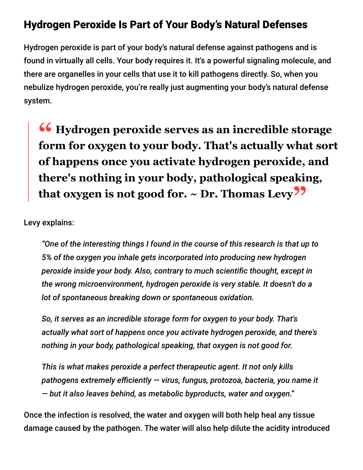## Hydrogen Peroxide Is Part of Your Body's Natural Defenses

Hydrogen peroxide is part of your body's natural defense against pathogens and is found in virtually all cells. Your body requires it. It's a powerful signaling molecule, and there are organelles in your cells that use it to kill pathogens directly. So, when you nebulize hydrogen peroxide, you're really just augmenting your body's natural defense system.

**<sup>66</sup>** Hydrogen peroxide serves as an incredible storage<br>form for oxygen to your body. That's actually what sor **form for oxygen to your body. That's actually what sort of happens once you activate hydrogen peroxide, and there's nothing in your body, pathological speaking, that oxygen is not good for. ~ Dr. Thomas Levy"**

Levy explains:

*"One of the interesting things I found in the course of this research is that up to 5% of the oxygen you inhale gets incorporated into producing new hydrogen peroxide inside your body. Also, contrary to much scientific thought, except in the wrong microenvironment, hydrogen peroxide is very stable. It doesn't do a lot of spontaneous breaking down or spontaneous oxidation.*

*So, it serves as an incredible storage form for oxygen to your body. That's actually what sort of happens once you activate hydrogen peroxide, and there's nothing in your body, pathological speaking, that oxygen is not good for.*

*This is what makes peroxide a perfect therapeutic agent. It not only kills* pathogens extremely efficiently - virus, fungus, protozoa, bacteria, you name it *— but it also leaves behind, as metabolic byproducts, water and oxygen."*

Once the infection is resolved, the water and oxygen will both help heal any tissue damage caused by the pathogen. The water will also help dilute the acidity introduced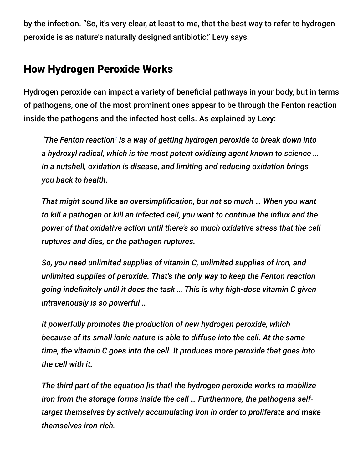by the infection. "So, it's very clear, at least to me, that the best way to refer to hydrogen peroxide is as nature's naturally designed antibiotic," Levy says.

## How Hydrogen Peroxide Works

Hydrogen peroxide can impact a variety of beneficial pathways in your body, but in terms of pathogens, one of the most prominent ones appear to be through the Fenton reaction inside the pathogens and the infected host cells. As explained by Levy:

*"The Fenton reaction is a way of getting hydrogen peroxide to break down into 1a hydroxyl radical, which is the most potent oxidizing agent known to science … In a nutshell, oxidation is disease, and limiting and reducing oxidation brings you back to health.*

*That might sound like an oversimplication, but not so much … When you want* to kill a pathogen or kill an infected cell, you want to continue the influx and the *power of that oxidative action until there's so much oxidative stress that the cell ruptures and dies, or the pathogen ruptures.*

*So, you need unlimited supplies of vitamin C, unlimited supplies of iron, and unlimited supplies of peroxide. That's the only way to keep the Fenton reaction* going indefinitely until it does the task ... This is why high-dose vitamin C given *intravenously is so powerful …*

*It powerfully promotes the production of new hydrogen peroxide, which because of its small ionic nature is able to diffuse into the cell. At the same time, the vitamin C goes into the cell. It produces more peroxide that goes into the cell with it.*

*The third part of the equation [is that] the hydrogen peroxide works to mobilize iron from the storage forms inside the cell … Furthermore, the pathogens selftarget themselves by actively accumulating iron in order to proliferate and make themselves iron-rich.*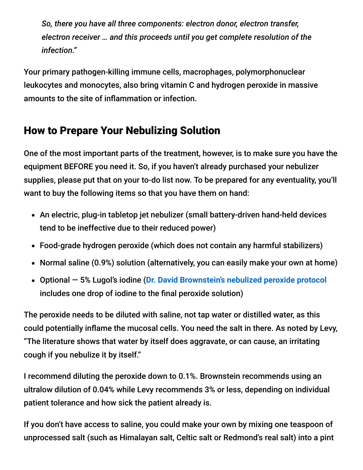*So, there you have all three components: electron donor, electron transfer, electron receiver … and this proceeds until you get complete resolution of the infection."*

Your primary pathogen-killing immune cells, macrophages, polymorphonuclear leukocytes and monocytes, also bring vitamin C and hydrogen peroxide in massive amounts to the site of inflammation or infection.

## How to Prepare Your Nebulizing Solution

One of the most important parts of the treatment, however, is to make sure you have the equipment BEFORE you need it. So, if you haven't already purchased your nebulizer supplies, please put that on your to-do list now. To be prepared for any eventuality, you'll want to buy the following items so that you have them on hand:

- An electric, plug-in tabletop jet nebulizer (small battery-driven hand-held devices tend to be ineffective due to their reduced power)
- Food-grade hydrogen peroxide (which does not contain any harmful stabilizers)
- Normal saline (0.9%) solution (alternatively, you can easily make your own at home)
- Optional 5% Lugol's iodine (**[Dr. David Brownstein's nebulized peroxide protocol](https://articles.mercola.com/sites/articles/archive/2021/03/07/nebulized-peroxide.aspx)** includes one drop of iodine to the final peroxide solution)

The peroxide needs to be diluted with saline, not tap water or distilled water, as this could potentially inflame the mucosal cells. You need the salt in there. As noted by Levy, "The literature shows that water by itself does aggravate, or can cause, an irritating cough if you nebulize it by itself."

I recommend diluting the peroxide down to 0.1%. Brownstein recommends using an ultralow dilution of 0.04% while Levy recommends 3% or less, depending on individual patient tolerance and how sick the patient already is.

If you don't have access to saline, you could make your own by mixing one teaspoon of unprocessed salt (such as Himalayan salt, Celtic salt or Redmond's real salt) into a pint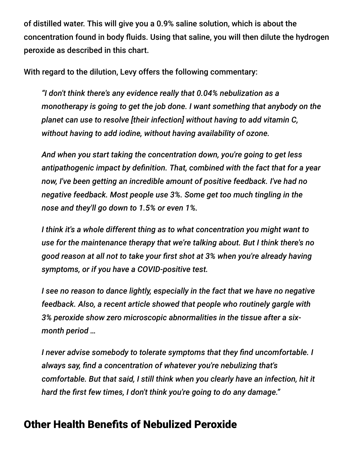of distilled water. This will give you a 0.9% saline solution, which is about the concentration found in body fluids. Using that saline, you will then dilute the hydrogen peroxide as described in this chart.

With regard to the dilution, Levy offers the following commentary:

*"I don't think there's any evidence really that 0.04% nebulization as a monotherapy is going to get the job done. I want something that anybody on the planet can use to resolve [their infection] without having to add vitamin C, without having to add iodine, without having availability of ozone.*

*And when you start taking the concentration down, you're going to get less* antipathogenic impact by definition. That, combined with the fact that for a year *now, I've been getting an incredible amount of positive feedback. I've had no negative feedback. Most people use 3%. Some get too much tingling in the nose and they'll go down to 1.5% or even 1%.*

*I think it's a whole different thing as to what concentration you might want to use for the maintenance therapy that we're talking about. But I think there's no good reason at all not to take your first shot at 3% when you're already having symptoms, or if you have a COVID-positive test.*

*I see no reason to dance lightly, especially in the fact that we have no negative feedback. Also, a recent article showed that people who routinely gargle with 3% peroxide show zero microscopic abnormalities in the tissue after a sixmonth period …*

*I* never advise somebody to tolerate symptoms that they find uncomfortable. *I* always say, find a concentration of whatever you're nebulizing that's *comfortable. But that said, I still think when you clearly have an infection, hit it* hard the first few times, I don't think you're going to do any damage."

## **Other Health Benefits of Nebulized Peroxide**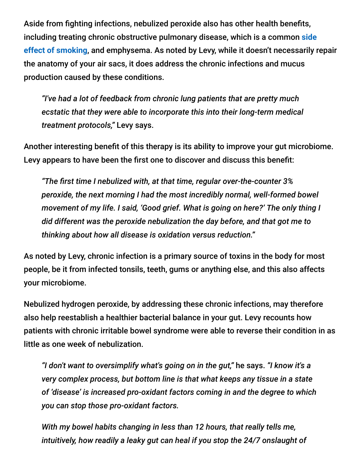Aside from fighting infections, nebulized peroxide also has other health benefits, [including treating chronic obstructive pulmonary disease, which is a common](https://articles.mercola.com/smoking-side-effects.aspx) **side effect of smoking**, and emphysema. As noted by Levy, while it doesn't necessarily repair the anatomy of your air sacs, it does address the chronic infections and mucus production caused by these conditions.

*"I've had a lot of feedback from chronic lung patients that are pretty much ecstatic that they were able to incorporate this into their long-term medical treatment protocols,"* Levy says.

Another interesting benefit of this therapy is its ability to improve your gut microbiome. Levy appears to have been the first one to discover and discuss this benefit:

*"The rst time I nebulized with, at that time, regular over-the-counter 3% peroxide, the next morning I had the most incredibly normal, well-formed bowel movement of my life. I said, 'Good grief. What is going on here?' The only thing I did different was the peroxide nebulization the day before, and that got me to thinking about how all disease is oxidation versus reduction."*

As noted by Levy, chronic infection is a primary source of toxins in the body for most people, be it from infected tonsils, teeth, gums or anything else, and this also affects your microbiome.

Nebulized hydrogen peroxide, by addressing these chronic infections, may therefore also help reestablish a healthier bacterial balance in your gut. Levy recounts how patients with chronic irritable bowel syndrome were able to reverse their condition in as little as one week of nebulization.

*"I don't want to oversimplify what's going on in the gut,"* he says. *"I know it's a very complex process, but bottom line is that what keeps any tissue in a state of 'disease' is increased pro-oxidant factors coming in and the degree to which you can stop those pro-oxidant factors.*

*With my bowel habits changing in less than 12 hours, that really tells me, intuitively, how readily a leaky gut can heal if you stop the 24/7 onslaught of*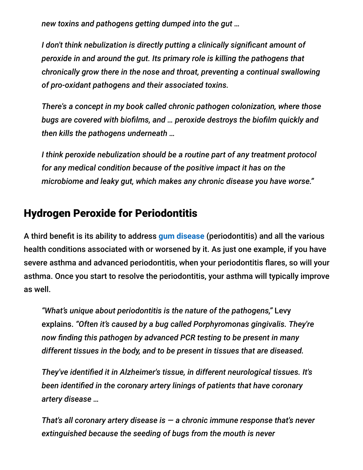*new toxins and pathogens getting dumped into the gut …*

*I* don't think nebulization is directly putting a clinically significant amount of *peroxide in and around the gut. Its primary role is killing the pathogens that chronically grow there in the nose and throat, preventing a continual swallowing of pro-oxidant pathogens and their associated toxins.*

*There's a concept in my book called chronic pathogen colonization, where those* bugs are covered with biofilms, and ... peroxide destroys the biofilm quickly and *then kills the pathogens underneath …*

*I think peroxide nebulization should be a routine part of any treatment protocol for any medical condition because of the positive impact it has on the microbiome and leaky gut, which makes any chronic disease you have worse."*

## Hydrogen Peroxide for Periodontitis

A third benefit is its ability to address [gum disease](https://articles.mercola.com/sites/articles/archive/2019/06/17/vitamin-k2-for-gum-and-brain.aspx) (periodontitis) and all the various health conditions associated with or worsened by it. As just one example, if you have severe asthma and advanced periodontitis, when your periodontitis flares, so will your asthma. Once you start to resolve the periodontitis, your asthma will typically improve as well.

*"What's unique about periodontitis is the nature of the pathogens,"* Levy explains. *"Often it's caused by a bug called Porphyromonas gingivalis. They're now nding this pathogen by advanced PCR testing to be present in many different tissues in the body, and to be present in tissues that are diseased.*

*They've identied it in Alzheimer's tissue, in different neurological tissues. It's been identied in the coronary artery linings of patients that have coronary artery disease …*

*That's all coronary artery disease is — a chronic immune response that's never extinguished because the seeding of bugs from the mouth is never*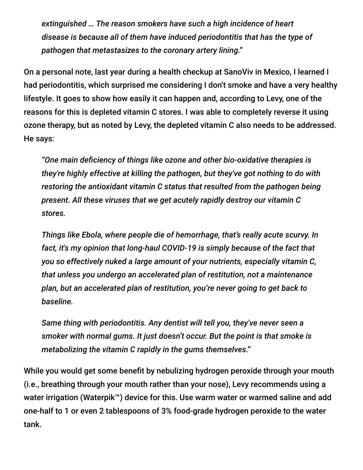*extinguished … The reason smokers have such a high incidence of heart disease is because all of them have induced periodontitis that has the type of pathogen that metastasizes to the coronary artery lining."*

On a personal note, last year during a health checkup at SanoViv in Mexico, I learned I had periodontitis, which surprised me considering I don't smoke and have a very healthy lifestyle. It goes to show how easily it can happen and, according to Levy, one of the reasons for this is depleted vitamin C stores. I was able to completely reverse it using ozone therapy, but as noted by Levy, the depleted vitamin C also needs to be addressed. He says:

*"One main deciency of things like ozone and other bio-oxidative therapies is they're highly effective at killing the pathogen, but they've got nothing to do with restoring the antioxidant vitamin C status that resulted from the pathogen being present. All these viruses that we get acutely rapidly destroy our vitamin C stores.*

*Things like Ebola, where people die of hemorrhage, that's really acute scurvy. In fact, it's my opinion that long-haul COVID-19 is simply because of the fact that you so effectively nuked a large amount of your nutrients, especially vitamin C, that unless you undergo an accelerated plan of restitution, not a maintenance plan, but an accelerated plan of restitution, you're never going to get back to baseline.*

*Same thing with periodontitis. Any dentist will tell you, they've never seen a smoker with normal gums. It just doesn't occur. But the point is that smoke is metabolizing the vitamin C rapidly in the gums themselves."*

While you would get some benefit by nebulizing hydrogen peroxide through your mouth (i.e., breathing through your mouth rather than your nose), Levy recommends using a water irrigation (Waterpik™) device for this. Use warm water or warmed saline and add one-half to 1 or even 2 tablespoons of 3% food-grade hydrogen peroxide to the water tank.